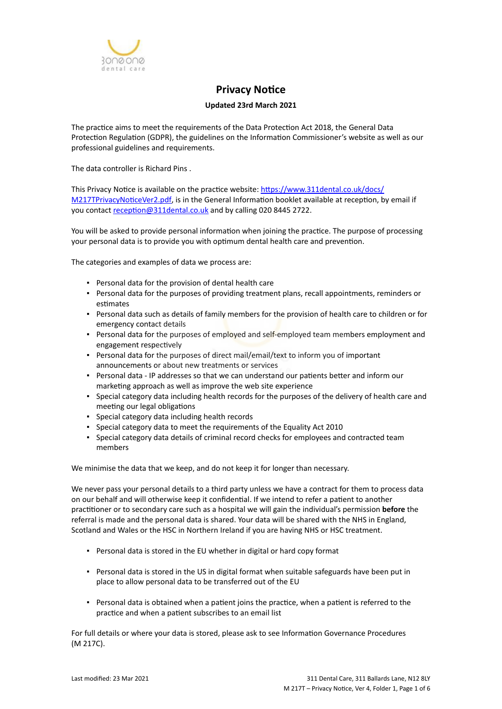

# **Privacy Notice**

# **Updated 23rd March 2021**

The practice aims to meet the requirements of the Data Protection Act 2018, the General Data Protection Regulation (GDPR), the guidelines on the Information Commissioner's website as well as our professional guidelines and requirements.

The data controller is Richard Pins .

This Privacy Notice is available on the practice website: [https://www.311dental.co.uk/docs/](https://www.311dental.co.uk/docs/M217TPrivacyNoticeVer2.pdf) [M217TPrivacyNoticeVer2.pdf,](https://www.311dental.co.uk/docs/M217TPrivacyNoticeVer2.pdf) is in the General Information booklet available at reception, by email if you contact [reception@311dental.co.uk](mailto:reception@311dental.co,.uk) and by calling 020 8445 2722.

You will be asked to provide personal information when joining the practice. The purpose of processing your personal data is to provide you with optimum dental health care and prevention.

The categories and examples of data we process are:

- Personal data for the provision of dental health care
- Personal data for the purposes of providing treatment plans, recall appointments, reminders or estimates
- Personal data such as details of family members for the provision of health care to children or for emergency contact details
- **Personal data for the purposes of employed and self-employed team members employment and** engagement respectively
- Personal data for the purposes of direct mail/email/text to inform you of important announcements or about new treatments or services
- Personal data IP addresses so that we can understand our patients better and inform our marketing approach as well as improve the web site experience
- Special category data including health records for the purposes of the delivery of health care and meeting our legal obligations
- Special category data including health records
- Special category data to meet the requirements of the Equality Act 2010
- Special category data details of criminal record checks for employees and contracted team members

We minimise the data that we keep, and do not keep it for longer than necessary.

We never pass your personal details to a third party unless we have a contract for them to process data on our behalf and will otherwise keep it confidential. If we intend to refer a patient to another practitioner or to secondary care such as a hospital we will gain the individual's permission **before** the referral is made and the personal data is shared. Your data will be shared with the NHS in England, Scotland and Wales or the HSC in Northern Ireland if you are having NHS or HSC treatment.

- Personal data is stored in the EU whether in digital or hard copy format
- Personal data is stored in the US in digital format when suitable safeguards have been put in place to allow personal data to be transferred out of the EU
- Personal data is obtained when a patient joins the practice, when a patient is referred to the practice and when a patient subscribes to an email list

For full details or where your data is stored, please ask to see Information Governance Procedures (M 217C).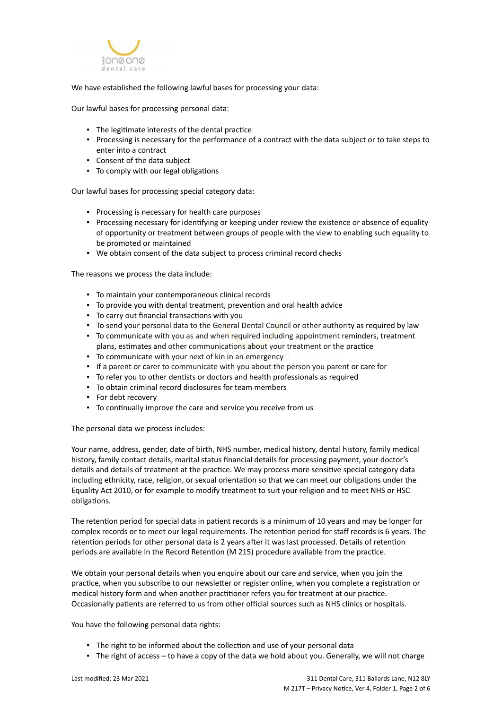

We have established the following lawful bases for processing your data:

Our lawful bases for processing personal data:

- The legitimate interests of the dental practice
- Processing is necessary for the performance of a contract with the data subject or to take steps to enter into a contract
- Consent of the data subject
- To comply with our legal obligations

Our lawful bases for processing special category data:

- Processing is necessary for health care purposes
- Processing necessary for identifying or keeping under review the existence or absence of equality of opportunity or treatment between groups of people with the view to enabling such equality to be promoted or maintained
- We obtain consent of the data subject to process criminal record checks

The reasons we process the data include:

- To maintain your contemporaneous clinical records
- To provide you with dental treatment, prevention and oral health advice
- To carry out financial transactions with you
- To send your personal data to the General Dental Council or other authority as required by law
- To communicate with you as and when required including appointment reminders, treatment plans, estimates and other communications about your treatment or the practice
- To communicate with your next of kin in an emergency
- If a parent or carer to communicate with you about the person you parent or care for
- To refer you to other dentists or doctors and health professionals as required
- To obtain criminal record disclosures for team members
- For debt recovery
- To continually improve the care and service you receive from us

The personal data we process includes:

Your name, address, gender, date of birth, NHS number, medical history, dental history, family medical history, family contact details, marital status financial details for processing payment, your doctor's details and details of treatment at the practice. We may process more sensitive special category data including ethnicity, race, religion, or sexual orientation so that we can meet our obligations under the Equality Act 2010, or for example to modify treatment to suit your religion and to meet NHS or HSC obligations.

The retention period for special data in patient records is a minimum of 10 years and may be longer for complex records or to meet our legal requirements. The retention period for staff records is 6 years. The retention periods for other personal data is 2 years after it was last processed. Details of retention periods are available in the Record Retention (M 215) procedure available from the practice.

We obtain your personal details when you enquire about our care and service, when you join the practice, when you subscribe to our newsletter or register online, when you complete a registration or medical history form and when another practitioner refers you for treatment at our practice. Occasionally patients are referred to us from other official sources such as NHS clinics or hospitals.

You have the following personal data rights:

- **.** The right to be informed about the collection and use of your personal data
- The right of access to have a copy of the data we hold about you. Generally, we will not charge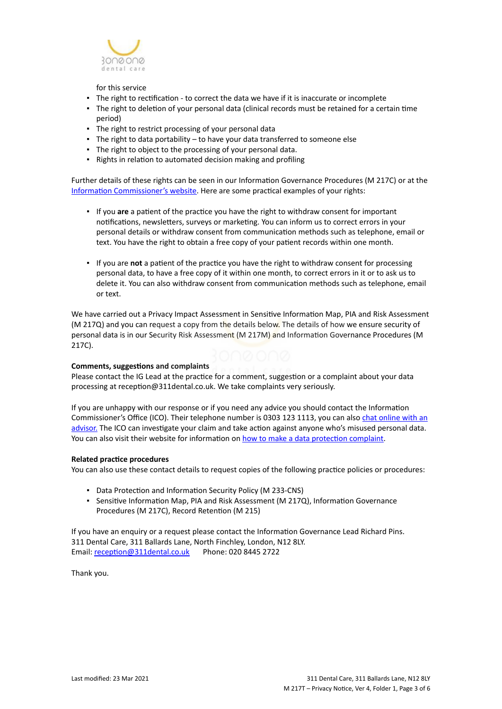

for this service

- The right to rectification to correct the data we have if it is inaccurate or incomplete
- The right to deletion of your personal data (clinical records must be retained for a certain time period)
- The right to restrict processing of your personal data
- **•** The right to data portability  $-$  to have your data transferred to someone else
- The right to object to the processing of your personal data.
- Rights in relation to automated decision making and profiling

Further details of these rights can be seen in our Information Governance Procedures (M 217C) or at the [Information Commissioner's website](https://ico.org.uk/for-organisations/guide-to-the-general-data-protection-regulation-gdpr/individual-rights/). Here are some practical examples of your rights:

- If you **are** a patient of the practice you have the right to withdraw consent for important notifications, newsletters, surveys or marketing. You can inform us to correct errors in your personal details or withdraw consent from communication methods such as telephone, email or text. You have the right to obtain a free copy of your patient records within one month.
- If you are **not** a patient of the practice you have the right to withdraw consent for processing personal data, to have a free copy of it within one month, to correct errors in it or to ask us to delete it. You can also withdraw consent from communication methods such as telephone, email or text.

We have carried out a Privacy Impact Assessment in Sensitive Information Map, PIA and Risk Assessment (M 217Q) and you can request a copy from the details below. The details of how we ensure security of personal data is in our Security Risk Assessment (M 217M) and Information Governance Procedures (M 217C).

## **Comments, suggestions and complaints**

Please contact the IG Lead at the practice for a comment, suggestion or a complaint about your data processing at reception@311dental.co.uk. We take complaints very seriously.

If you are unhappy with our response or if you need any advice you should contact the Information Commissioner's Office (ICO). Their telephone number is 0303 123 1113, you can also [chat online with an](https://ico.org.uk/global/contact-us/live-chat/) [advisor.](https://ico.org.uk/global/contact-us/live-chat/) The ICO can investigate your claim and take action against anyone who's misused personal data. You can also visit their website for information on [how to make a data protection complaint](http://www.ico.org.uk/complaints).

#### **Related practice procedures**

You can also use these contact details to request copies of the following practice policies or procedures:

- Data Protection and Information Security Policy (M 233-CNS)
- **Sensitive Information Map, PIA and Risk Assessment (M 217Q), Information Governance** Procedures (M 217C), Record Retention (M 215)

If you have an enquiry or a request please contact the Information Governance Lead Richard Pins. 311 Dental Care, 311 Ballards Lane, North Finchley, London, N12 8LY. Email: [reception@311dental.co.uk](mailto:reception@311dental.co.uk) Phone: 020 8445 2722

Thank you.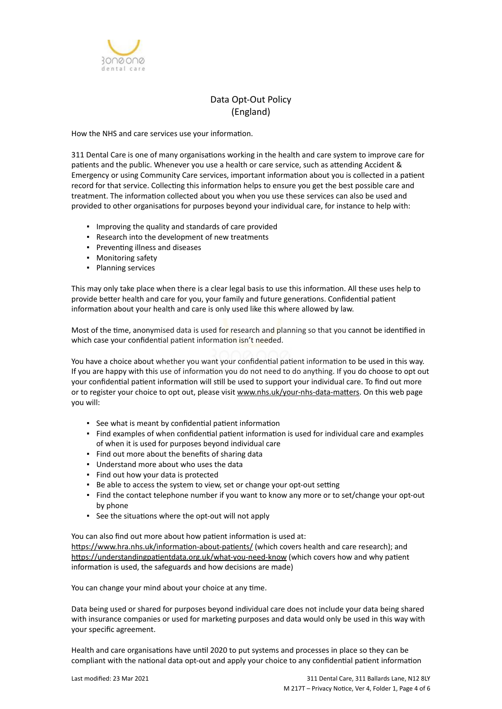

# Data Opt-Out Policy (England)

How the NHS and care services use your information.

311 Dental Care is one of many organisations working in the health and care system to improve care for patients and the public. Whenever you use a health or care service, such as attending Accident & Emergency or using Community Care services, important information about you is collected in a patient record for that service. Collecting this information helps to ensure you get the best possible care and treatment. The information collected about you when you use these services can also be used and provided to other organisations for purposes beyond your individual care, for instance to help with:

- Improving the quality and standards of care provided
- Research into the development of new treatments
- Preventing illness and diseases
- Monitoring safety
- Planning services

This may only take place when there is a clear legal basis to use this information. All these uses help to provide better health and care for you, your family and future generations. Confidential patient information about your health and care is only used like this where allowed by law.

Most of the time, anonymised data is used for research and planning so that you cannot be identified in which case your confidential patient information isn't needed.

You have a choice about whether you want your confidential patient information to be used in this way. If you are happy with this use of information you do not need to do anything. If you do choose to opt out your confidential patient information will still be used to support your individual care. To find out more or to register your choice to opt out, please visit [www.nhs.uk/your-nhs-data-matters](http://www.nhs.uk/your-nhs-data-matters). On this web page you will:

- See what is meant by confidential patient information
- Find examples of when confidential patient information is used for individual care and examples of when it is used for purposes beyond individual care
- Find out more about the benefits of sharing data
- Understand more about who uses the data
- Find out how your data is protected
- Be able to access the system to view, set or change your opt-out setting
- Find the contact telephone number if you want to know any more or to set/change your opt-out by phone
- See the situations where the opt-out will not apply

You can also find out more about how patient information is used at:

[https://www.hra.nhs.uk/information-about-patients/](https://www.hra.nhs.uk/information-about-patients/%20) (which covers health and care research); and <https://understandingpatientdata.org.uk/what-you-need-know> (which covers how and why patient information is used, the safeguards and how decisions are made)

You can change your mind about your choice at any time.

Data being used or shared for purposes beyond individual care does not include your data being shared with insurance companies or used for marketing purposes and data would only be used in this way with your specific agreement.

Health and care organisations have until 2020 to put systems and processes in place so they can be compliant with the national data opt-out and apply your choice to any confidential patient information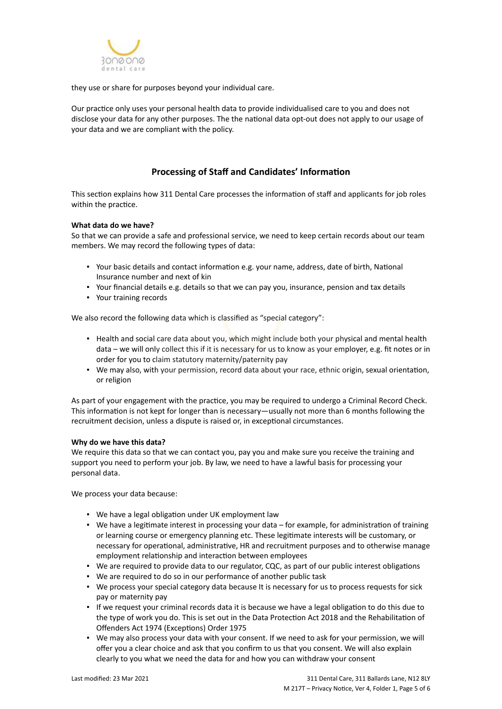

they use or share for purposes beyond your individual care.

Our practice only uses your personal health data to provide individualised care to you and does not disclose your data for any other purposes. The the national data opt-out does not apply to our usage of your data and we are compliant with the policy.

# **Processing of Staff and Candidates' Information**

This section explains how 311 Dental Care processes the information of staff and applicants for job roles within the practice.

### **What data do we have?**

So that we can provide a safe and professional service, we need to keep certain records about our team members. We may record the following types of data:

- Your basic details and contact information e.g. your name, address, date of birth, National Insurance number and next of kin
- Your financial details e.g. details so that we can pay you, insurance, pension and tax details
- Your training records

We also record the following data which is classified as "special category":

- . Health and social care data about you, which might include both your physical and mental health data – we will only collect this if it is necessary for us to know as your employer, e.g. fit notes or in order for you to claim statutory maternity/paternity pay
- We may also, with your permission, record data about your race, ethnic origin, sexual orientation, or religion

As part of your engagement with the practice, you may be required to undergo a Criminal Record Check. This information is not kept for longer than is necessary—usually not more than 6 months following the recruitment decision, unless a dispute is raised or, in exceptional circumstances.

#### **Why do we have this data?**

We require this data so that we can contact you, pay you and make sure you receive the training and support you need to perform your job. By law, we need to have a lawful basis for processing your personal data.

We process your data because:

- We have a legal obligation under UK employment law
- We have a legitimate interest in processing your data for example, for administration of training or learning course or emergency planning etc. These legitimate interests will be customary, or necessary for operational, administrative, HR and recruitment purposes and to otherwise manage employment relationship and interaction between employees
- We are required to provide data to our regulator, CQC, as part of our public interest obligations
- We are required to do so in our performance of another public task
- We process your special category data because It is necessary for us to process requests for sick pay or maternity pay
- If we request your criminal records data it is because we have a legal obligation to do this due to the type of work you do. This is set out in the Data Protection Act 2018 and the Rehabilitation of Offenders Act 1974 (Exceptions) Order 1975
- . We may also process your data with your consent. If we need to ask for your permission, we will offer you a clear choice and ask that you confirm to us that you consent. We will also explain clearly to you what we need the data for and how you can withdraw your consent